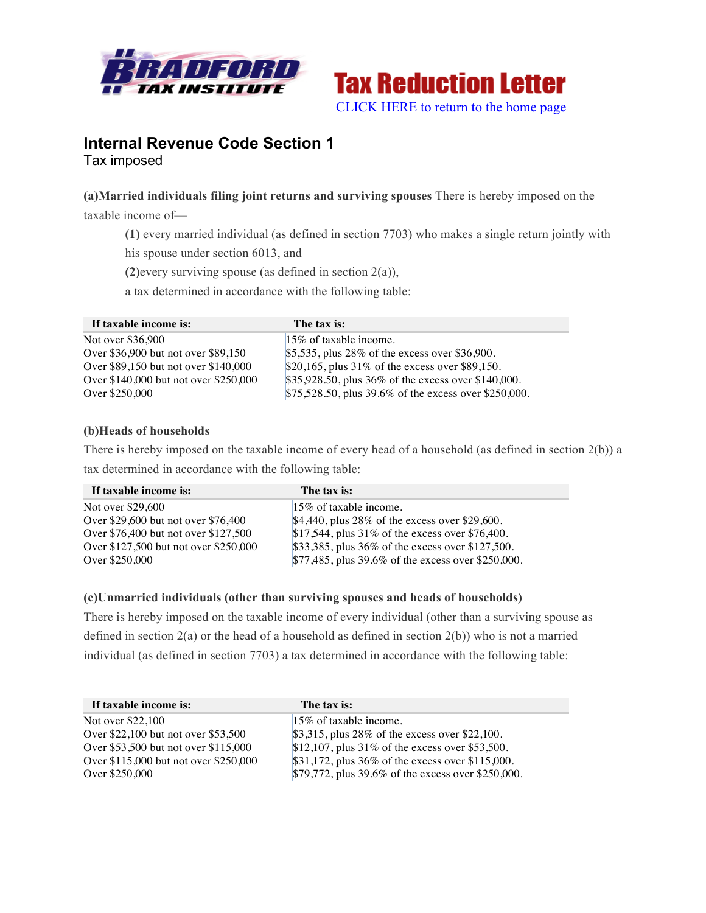



# **Internal Revenue Code Section 1** Tax imposed

## **(a)Married individuals filing joint returns and surviving spouses** There is hereby imposed on the

taxable income of—

**(1)** every married individual (as defined in section 7703) who makes a single return jointly with

his spouse under section 6013, and

**(2)**every surviving spouse (as defined in section 2(a)),

a tax determined in accordance with the following table:

| If taxable income is:                 | The tax is:                                           |
|---------------------------------------|-------------------------------------------------------|
| Not over \$36,900                     | $15\%$ of taxable income.                             |
| Over \$36,900 but not over \$89,150   | \$5,535, plus $28\%$ of the excess over \$36,900.     |
| Over \$89,150 but not over \$140,000  | \$20,165, plus $31\%$ of the excess over \$89,150.    |
| Over \$140,000 but not over \$250,000 | \$35,928.50, plus 36% of the excess over \$140,000.   |
| Over \$250,000                        | \$75,528.50, plus 39.6% of the excess over \$250,000. |

## **(b)Heads of households**

There is hereby imposed on the taxable income of every head of a household (as defined in section 2(b)) a tax determined in accordance with the following table:

| If taxable income is:                 | The tax is:                                        |
|---------------------------------------|----------------------------------------------------|
| Not over \$29,600                     | $15\%$ of taxable income.                          |
| Over \$29,600 but not over \$76,400   | $$4,440$ , plus 28% of the excess over \$29,600.   |
| Over \$76,400 but not over \$127,500  | $$17,544$ , plus 31% of the excess over \$76,400.  |
| Over \$127,500 but not over \$250,000 | \$33,385, plus 36% of the excess over \$127,500.   |
| Over \$250,000                        | \$77,485, plus 39.6% of the excess over \$250,000. |

## **(c)Unmarried individuals (other than surviving spouses and heads of households)**

There is hereby imposed on the taxable income of every individual (other than a surviving spouse as defined in section 2(a) or the head of a household as defined in section 2(b)) who is not a married individual (as defined in section 7703) a tax determined in accordance with the following table:

| If taxable income is:                 | The tax is:                                        |
|---------------------------------------|----------------------------------------------------|
| Not over \$22,100                     | $15\%$ of taxable income.                          |
| Over \$22,100 but not over \$53,500   | $$3,315$ , plus 28% of the excess over \$22,100.   |
| Over \$53,500 but not over \$115,000  | $$12,107$ , plus 31% of the excess over \$53,500.  |
| Over \$115,000 but not over \$250,000 | $$31,172, plus 36\%$ of the excess over \$115,000. |
| Over \$250,000                        | \$79,772, plus 39.6% of the excess over \$250,000. |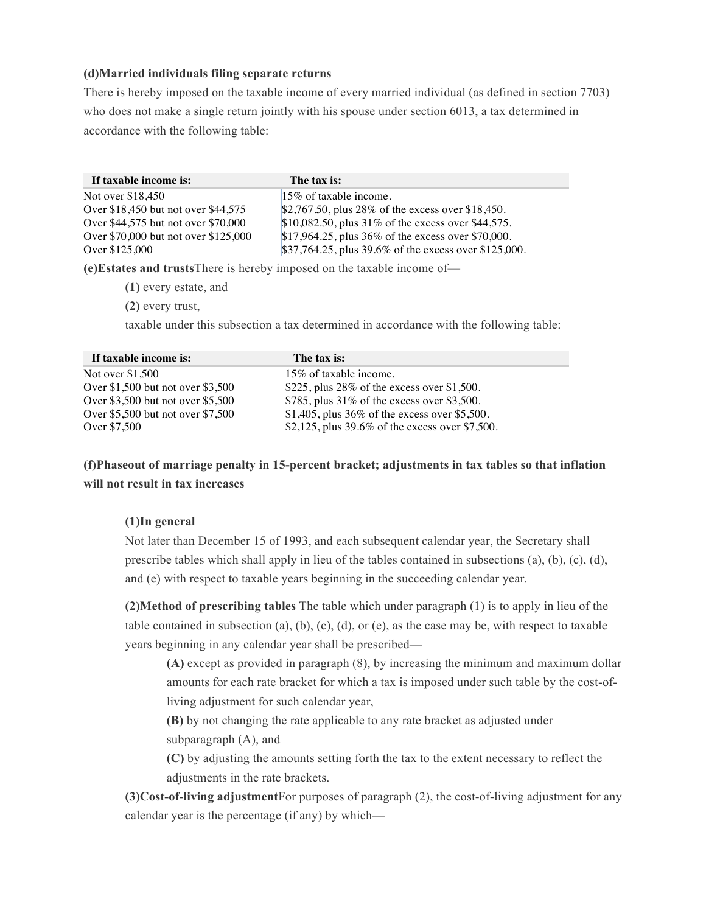## **(d)Married individuals filing separate returns**

There is hereby imposed on the taxable income of every married individual (as defined in section 7703) who does not make a single return jointly with his spouse under section 6013, a tax determined in accordance with the following table:

| If taxable income is:                | The tax is:                                           |
|--------------------------------------|-------------------------------------------------------|
| Not over \$18,450                    | $15\%$ of taxable income.                             |
| Over \$18,450 but not over \$44,575  | $$2,767.50$ , plus 28% of the excess over \$18,450.   |
| Over \$44,575 but not over \$70,000  | \$10,082.50, plus 31% of the excess over \$44,575.    |
| Over \$70,000 but not over \$125,000 | $$17,964.25$ , plus 36% of the excess over \$70,000.  |
| Over \$125,000                       | \$37,764.25, plus 39.6% of the excess over \$125,000. |

**(e)Estates and trusts**There is hereby imposed on the taxable income of—

**(1)** every estate, and

**(2)** every trust,

taxable under this subsection a tax determined in accordance with the following table:

| If taxable income is:             | The tax is:                                        |
|-----------------------------------|----------------------------------------------------|
| Not over \$1,500                  | $15\%$ of taxable income.                          |
| Over \$1,500 but not over \$3,500 | $$225$ , plus 28% of the excess over \$1,500.      |
| Over \$3,500 but not over \$5,500 | $$785$ , plus 31% of the excess over \$3,500.      |
| Over \$5,500 but not over \$7,500 | \$1,405, plus $36\%$ of the excess over \$5,500.   |
| Over \$7,500                      | \$2,125, plus $39.6\%$ of the excess over \$7,500. |

# **(f)Phaseout of marriage penalty in 15-percent bracket; adjustments in tax tables so that inflation will not result in tax increases**

## **(1)In general**

Not later than December 15 of 1993, and each subsequent calendar year, the Secretary shall prescribe tables which shall apply in lieu of the tables contained in subsections (a), (b), (c), (d), and (e) with respect to taxable years beginning in the succeeding calendar year.

**(2)Method of prescribing tables** The table which under paragraph (1) is to apply in lieu of the table contained in subsection (a), (b), (c), (d), or (e), as the case may be, with respect to taxable years beginning in any calendar year shall be prescribed—

**(A)** except as provided in paragraph (8), by increasing the minimum and maximum dollar amounts for each rate bracket for which a tax is imposed under such table by the cost-ofliving adjustment for such calendar year,

**(B)** by not changing the rate applicable to any rate bracket as adjusted under subparagraph (A), and

**(C)** by adjusting the amounts setting forth the tax to the extent necessary to reflect the adjustments in the rate brackets.

**(3)Cost-of-living adjustment**For purposes of paragraph (2), the cost-of-living adjustment for any calendar year is the percentage (if any) by which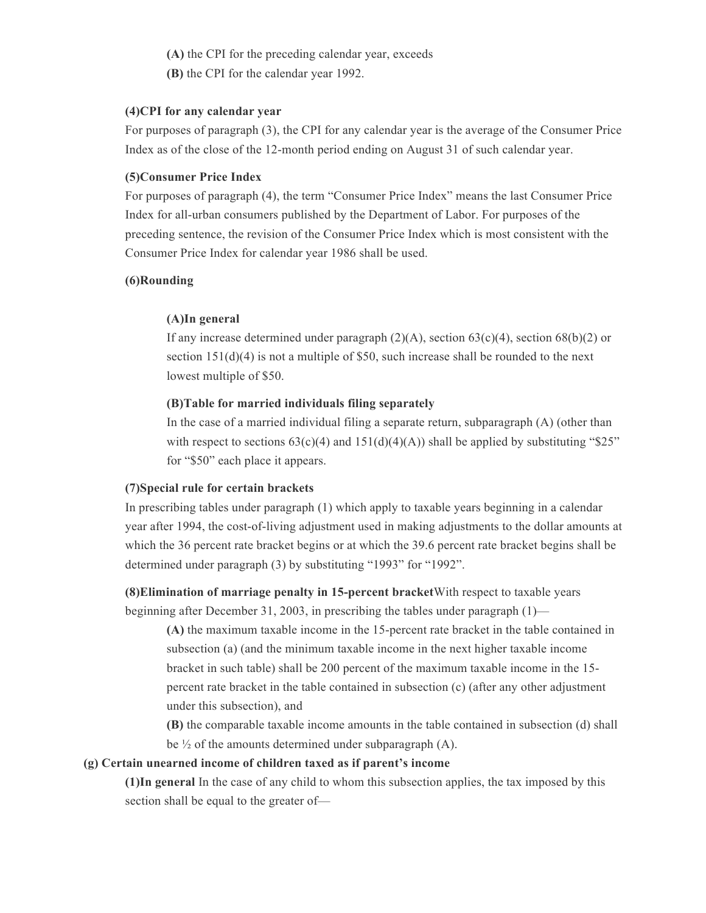**(A)** the CPI for the preceding calendar year, exceeds

**(B)** the CPI for the calendar year 1992.

#### **(4)CPI for any calendar year**

For purposes of paragraph (3), the CPI for any calendar year is the average of the Consumer Price Index as of the close of the 12-month period ending on August 31 of such calendar year.

#### **(5)Consumer Price Index**

For purposes of paragraph (4), the term "Consumer Price Index" means the last Consumer Price Index for all-urban consumers published by the Department of Labor. For purposes of the preceding sentence, the revision of the Consumer Price Index which is most consistent with the Consumer Price Index for calendar year 1986 shall be used.

### **(6)Rounding**

### **(A)In general**

If any increase determined under paragraph  $(2)(A)$ , section  $63(c)(4)$ , section  $68(b)(2)$  or section 151(d)(4) is not a multiple of \$50, such increase shall be rounded to the next lowest multiple of \$50.

### **(B)Table for married individuals filing separately**

In the case of a married individual filing a separate return, subparagraph (A) (other than with respect to sections  $63(c)(4)$  and  $151(d)(4)(A))$  shall be applied by substituting "\$25" for "\$50" each place it appears.

## **(7)Special rule for certain brackets**

In prescribing tables under paragraph (1) which apply to taxable years beginning in a calendar year after 1994, the cost-of-living adjustment used in making adjustments to the dollar amounts at which the 36 percent rate bracket begins or at which the 39.6 percent rate bracket begins shall be determined under paragraph (3) by substituting "1993" for "1992".

**(8)Elimination of marriage penalty in 15-percent bracket**With respect to taxable years beginning after December 31, 2003, in prescribing the tables under paragraph (1)—

**(A)** the maximum taxable income in the 15-percent rate bracket in the table contained in subsection (a) (and the minimum taxable income in the next higher taxable income bracket in such table) shall be 200 percent of the maximum taxable income in the 15 percent rate bracket in the table contained in subsection (c) (after any other adjustment under this subsection), and

**(B)** the comparable taxable income amounts in the table contained in subsection (d) shall be  $\frac{1}{2}$  of the amounts determined under subparagraph (A).

#### **(g) Certain unearned income of children taxed as if parent's income**

**(1)In general** In the case of any child to whom this subsection applies, the tax imposed by this section shall be equal to the greater of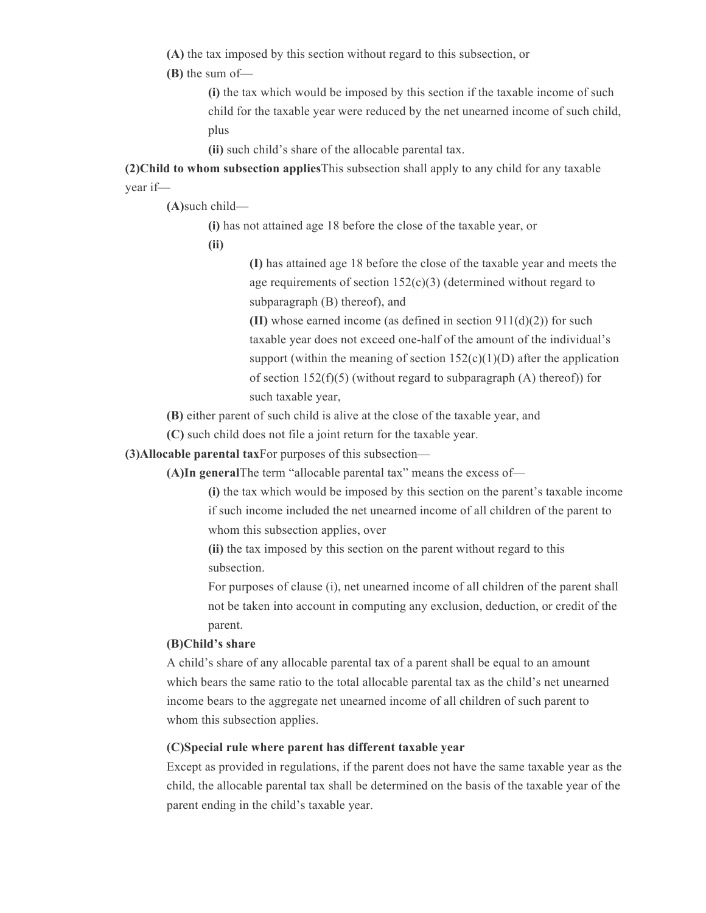**(A)** the tax imposed by this section without regard to this subsection, or

**(B)** the sum of—

**(i)** the tax which would be imposed by this section if the taxable income of such child for the taxable year were reduced by the net unearned income of such child, plus

**(ii)** such child's share of the allocable parental tax.

**(2)Child to whom subsection applies**This subsection shall apply to any child for any taxable year if—

**(A)**such child—

**(i)** has not attained age 18 before the close of the taxable year, or

**(ii)**

**(I)** has attained age 18 before the close of the taxable year and meets the age requirements of section 152(c)(3) (determined without regard to subparagraph (B) thereof), and

**(II)** whose earned income (as defined in section 911(d)(2)) for such taxable year does not exceed one-half of the amount of the individual's support (within the meaning of section  $152(c)(1)(D)$  after the application of section  $152(f)(5)$  (without regard to subparagraph (A) thereof)) for such taxable year,

**(B)** either parent of such child is alive at the close of the taxable year, and

**(C)** such child does not file a joint return for the taxable year.

**(3)Allocable parental tax**For purposes of this subsection—

**(A)In general**The term "allocable parental tax" means the excess of—

**(i)** the tax which would be imposed by this section on the parent's taxable income if such income included the net unearned income of all children of the parent to whom this subsection applies, over

**(ii)** the tax imposed by this section on the parent without regard to this subsection.

For purposes of clause (i), net unearned income of all children of the parent shall not be taken into account in computing any exclusion, deduction, or credit of the parent.

#### **(B)Child's share**

A child's share of any allocable parental tax of a parent shall be equal to an amount which bears the same ratio to the total allocable parental tax as the child's net unearned income bears to the aggregate net unearned income of all children of such parent to whom this subsection applies.

### **(C)Special rule where parent has different taxable year**

Except as provided in regulations, if the parent does not have the same taxable year as the child, the allocable parental tax shall be determined on the basis of the taxable year of the parent ending in the child's taxable year.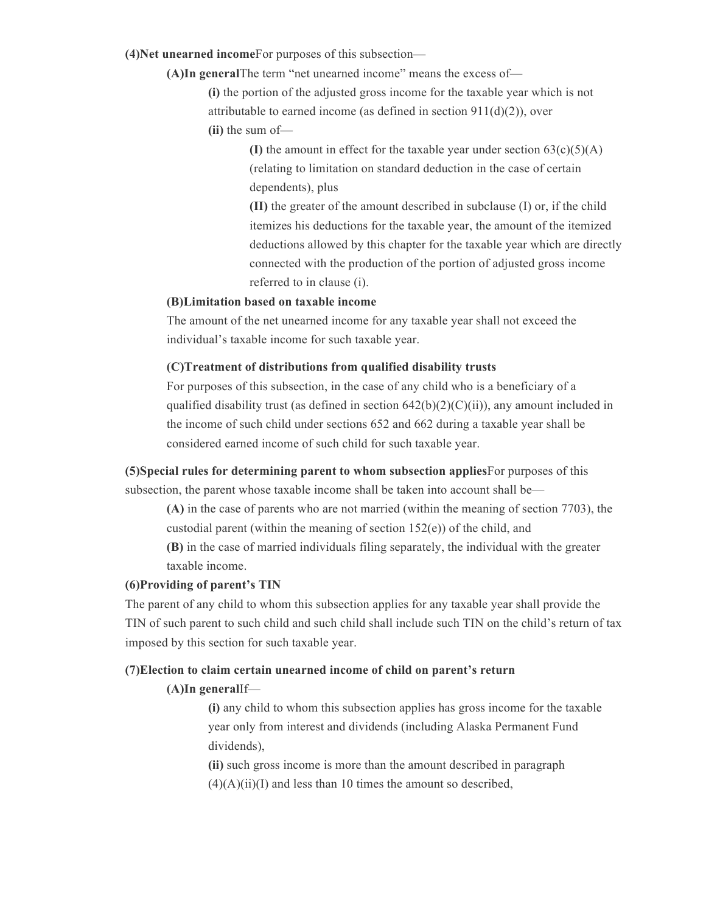**(4)Net unearned income**For purposes of this subsection—

**(A)In general**The term "net unearned income" means the excess of—

**(i)** the portion of the adjusted gross income for the taxable year which is not attributable to earned income (as defined in section 911(d)(2)), over **(ii)** the sum of—

> **(I)** the amount in effect for the taxable year under section  $63(c)(5)(A)$ (relating to limitation on standard deduction in the case of certain dependents), plus

**(II)** the greater of the amount described in subclause (I) or, if the child itemizes his deductions for the taxable year, the amount of the itemized deductions allowed by this chapter for the taxable year which are directly connected with the production of the portion of adjusted gross income referred to in clause (i).

## **(B)Limitation based on taxable income**

The amount of the net unearned income for any taxable year shall not exceed the individual's taxable income for such taxable year.

#### **(C)Treatment of distributions from qualified disability trusts**

For purposes of this subsection, in the case of any child who is a beneficiary of a qualified disability trust (as defined in section  $642(b)(2)(C)(ii)$ ), any amount included in the income of such child under sections 652 and 662 during a taxable year shall be considered earned income of such child for such taxable year.

**(5)Special rules for determining parent to whom subsection applies**For purposes of this subsection, the parent whose taxable income shall be taken into account shall be—

**(A)** in the case of parents who are not married (within the meaning of section 7703), the custodial parent (within the meaning of section 152(e)) of the child, and

**(B)** in the case of married individuals filing separately, the individual with the greater taxable income.

## **(6)Providing of parent's TIN**

The parent of any child to whom this subsection applies for any taxable year shall provide the TIN of such parent to such child and such child shall include such TIN on the child's return of tax imposed by this section for such taxable year.

## **(7)Election to claim certain unearned income of child on parent's return**

#### **(A)In general**If—

**(i)** any child to whom this subsection applies has gross income for the taxable year only from interest and dividends (including Alaska Permanent Fund dividends),

**(ii)** such gross income is more than the amount described in paragraph  $(4)(A)(ii)(I)$  and less than 10 times the amount so described,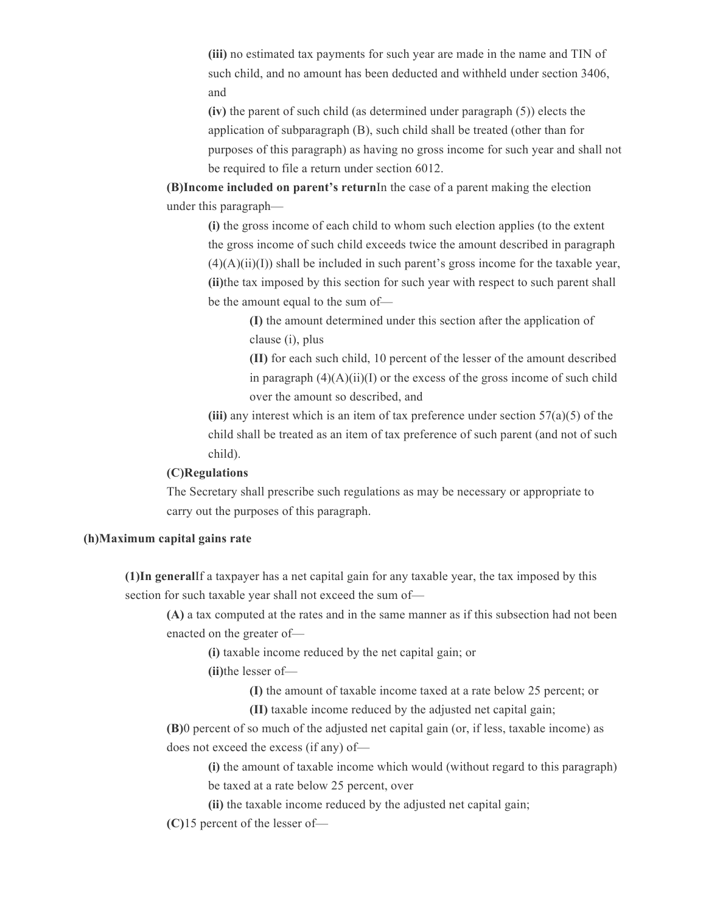**(iii)** no estimated tax payments for such year are made in the name and TIN of such child, and no amount has been deducted and withheld under section 3406, and

**(iv)** the parent of such child (as determined under paragraph (5)) elects the application of subparagraph (B), such child shall be treated (other than for purposes of this paragraph) as having no gross income for such year and shall not be required to file a return under section 6012.

**(B)Income included on parent's return**In the case of a parent making the election under this paragraph—

**(i)** the gross income of each child to whom such election applies (to the extent the gross income of such child exceeds twice the amount described in paragraph  $(4)(A)(ii)(I)$ ) shall be included in such parent's gross income for the taxable year, **(ii)**the tax imposed by this section for such year with respect to such parent shall be the amount equal to the sum of—

> **(I)** the amount determined under this section after the application of clause (i), plus

**(II)** for each such child, 10 percent of the lesser of the amount described in paragraph  $(4)(A)(ii)(I)$  or the excess of the gross income of such child over the amount so described, and

**(iii)** any interest which is an item of tax preference under section 57(a)(5) of the child shall be treated as an item of tax preference of such parent (and not of such child).

### **(C)Regulations**

The Secretary shall prescribe such regulations as may be necessary or appropriate to carry out the purposes of this paragraph.

## **(h)Maximum capital gains rate**

**(1)In general**If a taxpayer has a net capital gain for any taxable year, the tax imposed by this section for such taxable year shall not exceed the sum of—

**(A)** a tax computed at the rates and in the same manner as if this subsection had not been enacted on the greater of—

**(i)** taxable income reduced by the net capital gain; or

**(ii)**the lesser of—

**(I)** the amount of taxable income taxed at a rate below 25 percent; or

**(II)** taxable income reduced by the adjusted net capital gain;

**(B)**0 percent of so much of the adjusted net capital gain (or, if less, taxable income) as does not exceed the excess (if any) of—

**(i)** the amount of taxable income which would (without regard to this paragraph) be taxed at a rate below 25 percent, over

**(ii)** the taxable income reduced by the adjusted net capital gain;

**(C)**15 percent of the lesser of—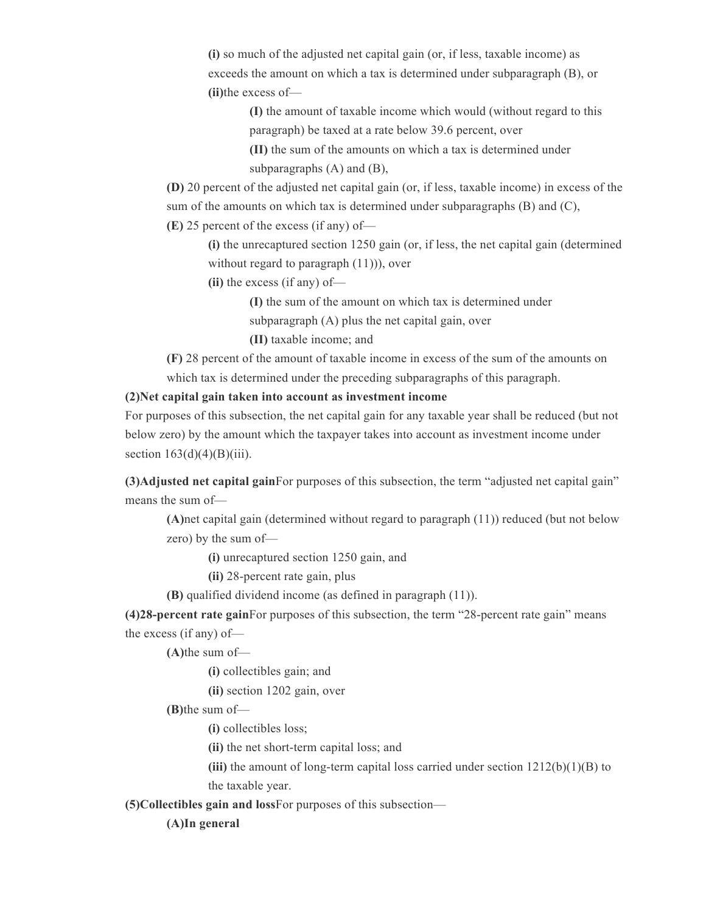**(i)** so much of the adjusted net capital gain (or, if less, taxable income) as exceeds the amount on which a tax is determined under subparagraph (B), or **(ii)**the excess of—

> **(I)** the amount of taxable income which would (without regard to this paragraph) be taxed at a rate below 39.6 percent, over

**(II)** the sum of the amounts on which a tax is determined under subparagraphs (A) and (B),

**(D)** 20 percent of the adjusted net capital gain (or, if less, taxable income) in excess of the sum of the amounts on which tax is determined under subparagraphs (B) and (C),

**(E)** 25 percent of the excess (if any) of—

**(i)** the unrecaptured section 1250 gain (or, if less, the net capital gain (determined without regard to paragraph  $(11)$ ), over

**(ii)** the excess (if any) of—

**(I)** the sum of the amount on which tax is determined under

subparagraph (A) plus the net capital gain, over

**(II)** taxable income; and

**(F)** 28 percent of the amount of taxable income in excess of the sum of the amounts on which tax is determined under the preceding subparagraphs of this paragraph.

**(2)Net capital gain taken into account as investment income**

For purposes of this subsection, the net capital gain for any taxable year shall be reduced (but not below zero) by the amount which the taxpayer takes into account as investment income under section  $163(d)(4)(B)(iii)$ .

**(3)Adjusted net capital gain**For purposes of this subsection, the term "adjusted net capital gain" means the sum of—

**(A)**net capital gain (determined without regard to paragraph (11)) reduced (but not below zero) by the sum of—

**(i)** unrecaptured section 1250 gain, and

**(ii)** 28-percent rate gain, plus

**(B)** qualified dividend income (as defined in paragraph (11)).

**(4)28-percent rate gain**For purposes of this subsection, the term "28-percent rate gain" means the excess (if any) of—

**(A)**the sum of—

**(i)** collectibles gain; and

**(ii)** section 1202 gain, over

**(B)**the sum of—

**(i)** collectibles loss;

**(ii)** the net short-term capital loss; and

**(iii)** the amount of long-term capital loss carried under section 1212(b)(1)(B) to the taxable year.

**(5)Collectibles gain and loss**For purposes of this subsection—

**(A)In general**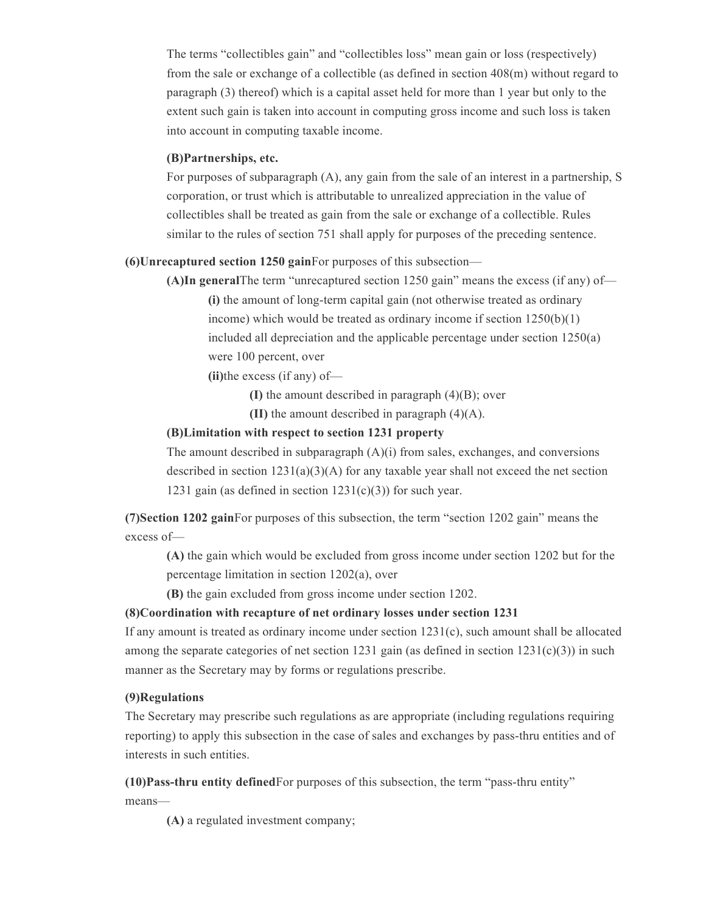The terms "collectibles gain" and "collectibles loss" mean gain or loss (respectively) from the sale or exchange of a collectible (as defined in section 408(m) without regard to paragraph (3) thereof) which is a capital asset held for more than 1 year but only to the extent such gain is taken into account in computing gross income and such loss is taken into account in computing taxable income.

## **(B)Partnerships, etc.**

For purposes of subparagraph (A), any gain from the sale of an interest in a partnership, S corporation, or trust which is attributable to unrealized appreciation in the value of collectibles shall be treated as gain from the sale or exchange of a collectible. Rules similar to the rules of section 751 shall apply for purposes of the preceding sentence.

### **(6)Unrecaptured section 1250 gain**For purposes of this subsection—

**(A)In general**The term "unrecaptured section 1250 gain" means the excess (if any) of— **(i)** the amount of long-term capital gain (not otherwise treated as ordinary income) which would be treated as ordinary income if section 1250(b)(1)

included all depreciation and the applicable percentage under section 1250(a) were 100 percent, over

**(ii)**the excess (if any) of—

**(I)** the amount described in paragraph (4)(B); over

**(II)** the amount described in paragraph (4)(A).

#### **(B)Limitation with respect to section 1231 property**

The amount described in subparagraph  $(A)(i)$  from sales, exchanges, and conversions described in section  $1231(a)(3)(A)$  for any taxable year shall not exceed the net section 1231 gain (as defined in section  $1231(c)(3)$ ) for such year.

**(7)Section 1202 gain**For purposes of this subsection, the term "section 1202 gain" means the excess of—

**(A)** the gain which would be excluded from gross income under section 1202 but for the percentage limitation in section 1202(a), over

**(B)** the gain excluded from gross income under section 1202.

#### **(8)Coordination with recapture of net ordinary losses under section 1231**

If any amount is treated as ordinary income under section  $1231(c)$ , such amount shall be allocated among the separate categories of net section 1231 gain (as defined in section  $1231(c)(3)$ ) in such manner as the Secretary may by forms or regulations prescribe.

## **(9)Regulations**

The Secretary may prescribe such regulations as are appropriate (including regulations requiring reporting) to apply this subsection in the case of sales and exchanges by pass-thru entities and of interests in such entities.

**(10)Pass-thru entity defined**For purposes of this subsection, the term "pass-thru entity" means—

**(A)** a regulated investment company;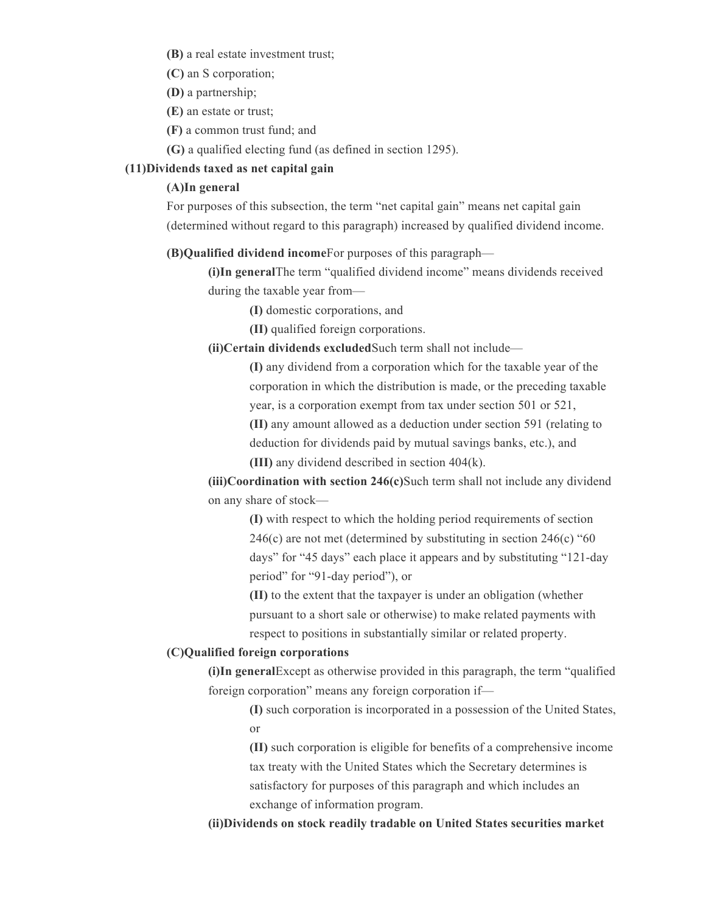**(B)** a real estate investment trust;

**(C)** an S corporation;

**(D)** a partnership;

**(E)** an estate or trust;

**(F)** a common trust fund; and

**(G)** a qualified electing fund (as defined in section 1295).

## **(11)Dividends taxed as net capital gain**

## **(A)In general**

For purposes of this subsection, the term "net capital gain" means net capital gain (determined without regard to this paragraph) increased by qualified dividend income.

**(B)Qualified dividend income**For purposes of this paragraph—

**(i)In general**The term "qualified dividend income" means dividends received during the taxable year from—

**(I)** domestic corporations, and

**(II)** qualified foreign corporations.

**(ii)Certain dividends excluded**Such term shall not include—

**(I)** any dividend from a corporation which for the taxable year of the corporation in which the distribution is made, or the preceding taxable year, is a corporation exempt from tax under section 501 or 521, **(II)** any amount allowed as a deduction under section 591 (relating to deduction for dividends paid by mutual savings banks, etc.), and

**(III)** any dividend described in section 404(k).

**(iii)Coordination with section 246(c)**Such term shall not include any dividend on any share of stock—

**(I)** with respect to which the holding period requirements of section 246(c) are not met (determined by substituting in section 246(c) "60 days" for "45 days" each place it appears and by substituting "121-day period" for "91-day period"), or

**(II)** to the extent that the taxpayer is under an obligation (whether pursuant to a short sale or otherwise) to make related payments with respect to positions in substantially similar or related property.

## **(C)Qualified foreign corporations**

**(i)In general**Except as otherwise provided in this paragraph, the term "qualified foreign corporation" means any foreign corporation if—

> **(I)** such corporation is incorporated in a possession of the United States, or

> **(II)** such corporation is eligible for benefits of a comprehensive income tax treaty with the United States which the Secretary determines is satisfactory for purposes of this paragraph and which includes an exchange of information program.

**(ii)Dividends on stock readily tradable on United States securities market**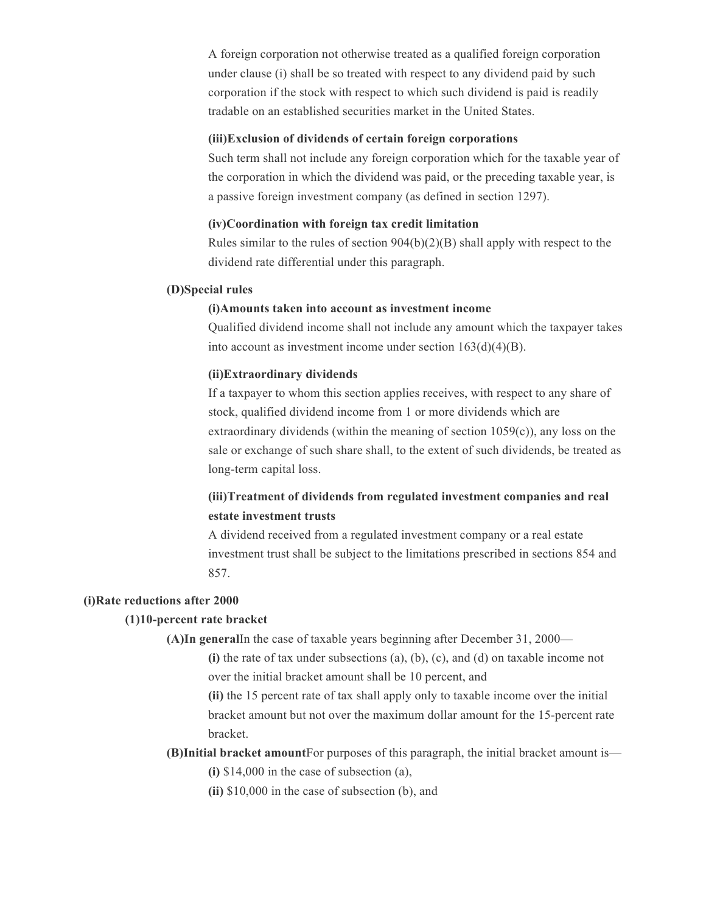A foreign corporation not otherwise treated as a qualified foreign corporation under clause (i) shall be so treated with respect to any dividend paid by such corporation if the stock with respect to which such dividend is paid is readily tradable on an established securities market in the United States.

## **(iii)Exclusion of dividends of certain foreign corporations**

Such term shall not include any foreign corporation which for the taxable year of the corporation in which the dividend was paid, or the preceding taxable year, is a passive foreign investment company (as defined in section 1297).

## **(iv)Coordination with foreign tax credit limitation**

Rules similar to the rules of section  $904(b)(2)(B)$  shall apply with respect to the dividend rate differential under this paragraph.

### **(D)Special rules**

### **(i)Amounts taken into account as investment income**

Qualified dividend income shall not include any amount which the taxpayer takes into account as investment income under section  $163(d)(4)(B)$ .

#### **(ii)Extraordinary dividends**

If a taxpayer to whom this section applies receives, with respect to any share of stock, qualified dividend income from 1 or more dividends which are extraordinary dividends (within the meaning of section 1059(c)), any loss on the sale or exchange of such share shall, to the extent of such dividends, be treated as long-term capital loss.

# **(iii)Treatment of dividends from regulated investment companies and real estate investment trusts**

A dividend received from a regulated investment company or a real estate investment trust shall be subject to the limitations prescribed in sections 854 and 857.

#### **(i)Rate reductions after 2000**

#### **(1)10-percent rate bracket**

**(A)In general**In the case of taxable years beginning after December 31, 2000—

**(i)** the rate of tax under subsections (a), (b), (c), and (d) on taxable income not over the initial bracket amount shall be 10 percent, and

**(ii)** the 15 percent rate of tax shall apply only to taxable income over the initial bracket amount but not over the maximum dollar amount for the 15-percent rate bracket.

## **(B)Initial bracket amount**For purposes of this paragraph, the initial bracket amount is— **(i)** \$14,000 in the case of subsection (a),

**(ii)** \$10,000 in the case of subsection (b), and